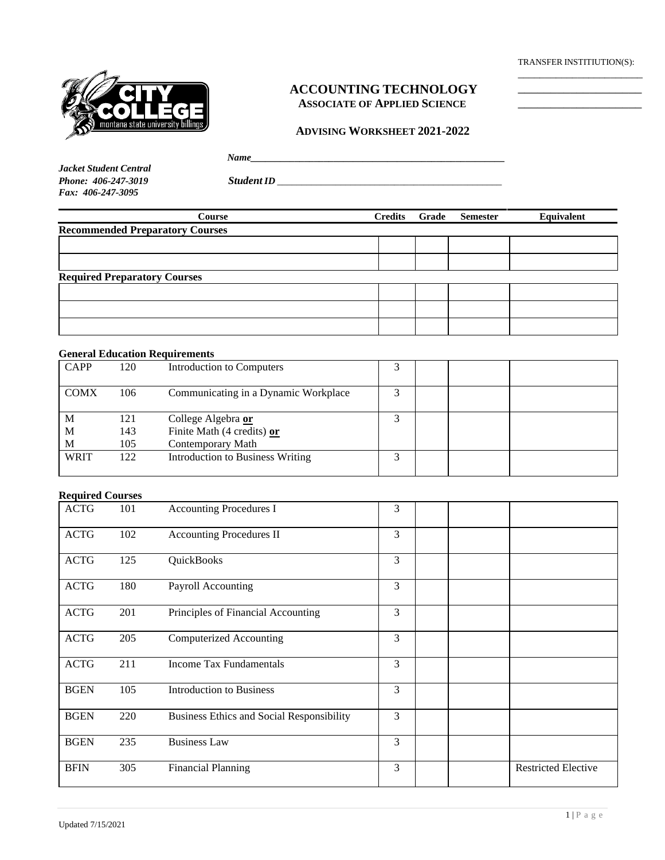TRANSFER INSTITIUTION(S): \_\_\_\_\_\_\_\_\_\_\_\_\_\_\_\_\_\_\_\_\_\_\_



## **ACCOUNTING TECHNOLOGY ASSOCIATE OF APPLIED SCIENCE**

### **ADVISING WORKSHEET 2021-2022**

| Jacket Student Central |
|------------------------|
| Phone: 406-247-3019    |
| $Fax: 406-247-3095$    |

*Name Phone: 406-247-3019 Student ID \_\_\_\_\_\_\_\_\_\_\_\_\_\_\_\_\_\_\_\_\_\_\_\_\_\_\_\_\_\_\_\_\_\_\_\_\_\_\_\_\_\_\_\_\_\_*

*Fax: 406-247-3095*

| Credits | <b>Semester</b> | Equivalent |
|---------|-----------------|------------|
|         |                 |            |
|         |                 |            |
|         |                 |            |
|         |                 |            |
|         |                 |            |
|         |                 |            |
|         |                 |            |
|         |                 | Grade      |

### **General Education Requirements**

| <b>CAPP</b> | 120 | Introduction to Computers               |   |  |  |
|-------------|-----|-----------------------------------------|---|--|--|
| <b>COMX</b> | 106 | Communicating in a Dynamic Workplace    | ⌒ |  |  |
| M           | 121 | College Algebra or                      |   |  |  |
| M           | 143 | Finite Math (4 credits) or              |   |  |  |
| M           | 105 | Contemporary Math                       |   |  |  |
| <b>WRIT</b> | 122 | <b>Introduction to Business Writing</b> |   |  |  |

## **Required Courses**

| <b>ACTG</b> | 101 | <b>Accounting Procedures I</b>                   | 3 |  |                            |
|-------------|-----|--------------------------------------------------|---|--|----------------------------|
| <b>ACTG</b> | 102 | <b>Accounting Procedures II</b>                  | 3 |  |                            |
| <b>ACTG</b> | 125 | QuickBooks                                       | 3 |  |                            |
| <b>ACTG</b> | 180 | Payroll Accounting                               | 3 |  |                            |
| <b>ACTG</b> | 201 | Principles of Financial Accounting               | 3 |  |                            |
| <b>ACTG</b> | 205 | <b>Computerized Accounting</b>                   | 3 |  |                            |
| <b>ACTG</b> | 211 | <b>Income Tax Fundamentals</b>                   | 3 |  |                            |
| <b>BGEN</b> | 105 | <b>Introduction to Business</b>                  | 3 |  |                            |
| <b>BGEN</b> | 220 | <b>Business Ethics and Social Responsibility</b> | 3 |  |                            |
| <b>BGEN</b> | 235 | <b>Business Law</b>                              | 3 |  |                            |
| <b>BFIN</b> | 305 | <b>Financial Planning</b>                        | 3 |  | <b>Restricted Elective</b> |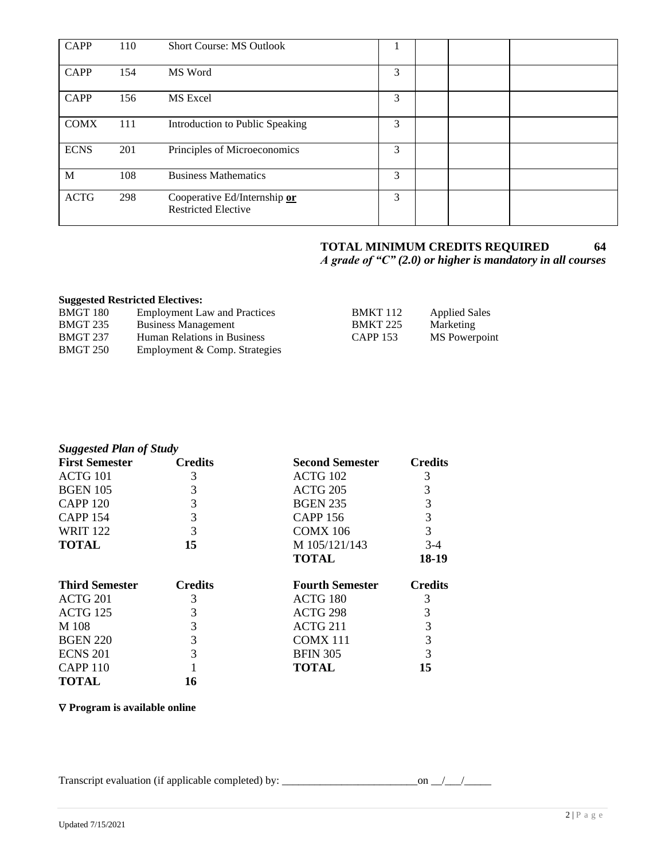| CAPP        | 110 | <b>Short Course: MS Outlook</b>                            |   |  |  |
|-------------|-----|------------------------------------------------------------|---|--|--|
| <b>CAPP</b> | 154 | MS Word                                                    | 3 |  |  |
| CAPP        | 156 | MS Excel                                                   | 3 |  |  |
| <b>COMX</b> | 111 | Introduction to Public Speaking                            | 3 |  |  |
| <b>ECNS</b> | 201 | Principles of Microeconomics                               | 3 |  |  |
| M           | 108 | <b>Business Mathematics</b>                                | 3 |  |  |
| <b>ACTG</b> | 298 | Cooperative Ed/Internship or<br><b>Restricted Elective</b> | 3 |  |  |

# **TOTAL MINIMUM CREDITS REQUIRED 64**

*A grade of "C" (2.0) or higher is mandatory in all courses*

## **Suggested Restricted Electives:**

| BMGT 180 | <b>Employment Law and Practices</b> | <b>BMKT</b> 112 | <b>Applied Sales</b> |
|----------|-------------------------------------|-----------------|----------------------|
| BMGT 235 | <b>Business Management</b>          | <b>BMKT 225</b> | Marketing            |
| BMGT 237 | <b>Human Relations in Business</b>  | CAPP 153        | MS Powerpoint        |
| BMGT 250 | Employment & Comp. Strategies       |                 |                      |
|          |                                     |                 |                      |

| <b>Suggested Plan of Study</b> |                |                        |                |
|--------------------------------|----------------|------------------------|----------------|
| <b>First Semester</b>          | <b>Credits</b> | Second Semester        | <b>Credits</b> |
| ACTG 101                       | 3              | ACTG 102               | 3              |
| <b>BGEN 105</b>                | 3              | <b>ACTG 205</b>        | 3              |
| <b>CAPP 120</b>                | 3              | <b>BGEN 235</b>        | 3              |
| <b>CAPP 154</b>                | 3              | <b>CAPP 156</b>        | 3              |
| <b>WRIT 122</b>                | 3              | <b>COMX 106</b>        | 3              |
| <b>TOTAL</b>                   | 15             | M 105/121/143          | $3-4$          |
|                                |                | TOTAL                  | 18-19          |
| <b>Third Semester</b>          | <b>Credits</b> | <b>Fourth Semester</b> | <b>Credits</b> |
| ACTG 201                       | 3              | ACTG 180               | 3              |
| <b>ACTG 125</b>                | 3              | ACTG 298               | 3              |
| M 108                          | 3              | ACTG 211               | 3              |
| <b>BGEN 220</b>                | 3              | COMX 111               | 3              |
| <b>ECNS 201</b>                | 3              | <b>BFIN 305</b>        | 3              |
| <b>CAPP 110</b>                |                | TOTAL                  | 15             |
| <b>TOTAL</b>                   | 16             |                        |                |

## **Program is available online**

Transcript evaluation (if applicable completed) by: \_\_\_\_\_\_\_\_\_\_\_\_\_\_\_\_\_\_\_\_\_\_\_\_\_on \_\_/\_\_\_/\_\_\_\_\_